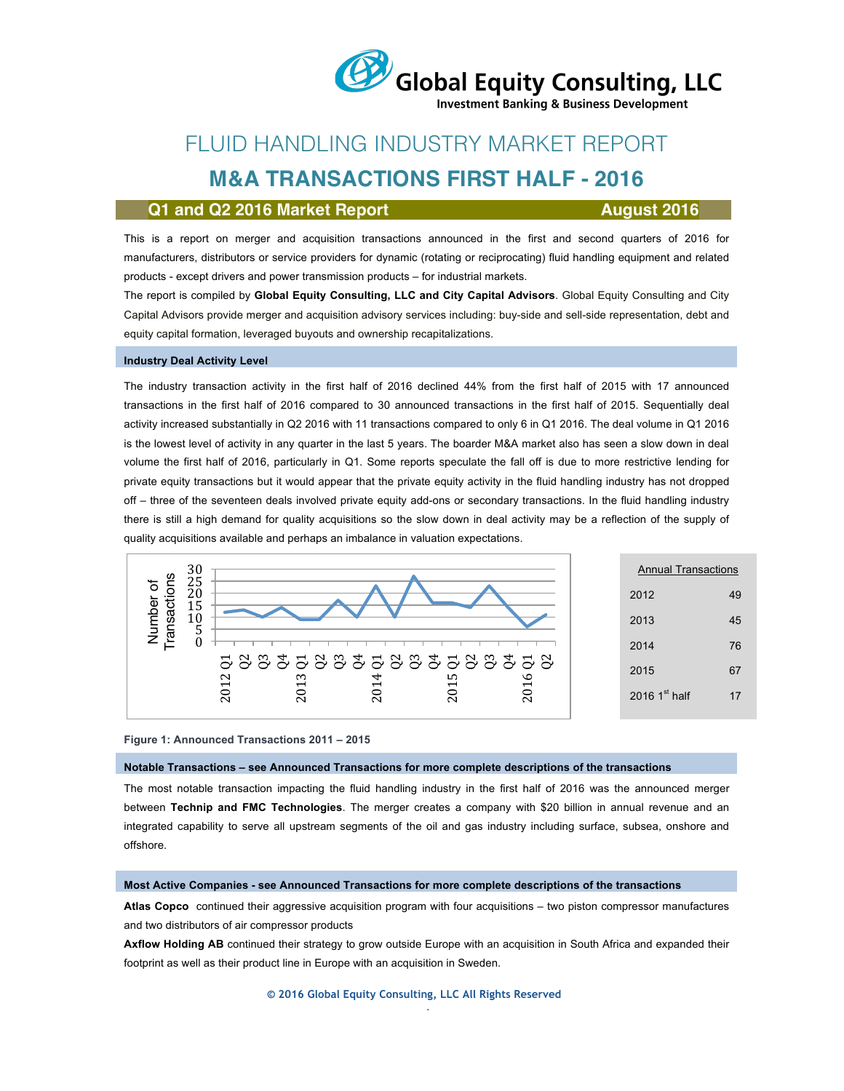

**Investment Banking & Business Development** 

# FLUID HANDLING INDUSTRY MARKET REPORT

## **M&A TRANSACTIONS FIRST HALF - 2016**

### **Q1 and Q2 2016 Market Report August 2016**

This is a report on merger and acquisition transactions announced in the first and second quarters of 2016 for manufacturers, distributors or service providers for dynamic (rotating or reciprocating) fluid handling equipment and related products - except drivers and power transmission products – for industrial markets.

The report is compiled by **Global Equity Consulting, LLC and City Capital Advisors**. Global Equity Consulting and City Capital Advisors provide merger and acquisition advisory services including: buy-side and sell-side representation, debt and equity capital formation, leveraged buyouts and ownership recapitalizations.

### **Industry Deal Activity Level**

The industry transaction activity in the first half of 2016 declined 44% from the first half of 2015 with 17 announced transactions in the first half of 2016 compared to 30 announced transactions in the first half of 2015. Sequentially deal activity increased substantially in Q2 2016 with 11 transactions compared to only 6 in Q1 2016. The deal volume in Q1 2016 is the lowest level of activity in any quarter in the last 5 years. The boarder M&A market also has seen a slow down in deal volume the first half of 2016, particularly in Q1. Some reports speculate the fall off is due to more restrictive lending for private equity transactions but it would appear that the private equity activity in the fluid handling industry has not dropped off – three of the seventeen deals involved private equity add-ons or secondary transactions. In the fluid handling industry there is still a high demand for quality acquisitions so the slow down in deal activity may be a reflection of the supply of quality acquisitions available and perhaps an imbalance in valuation expectations.



| <b>Annual Transactions</b> |    |  |  |  |
|----------------------------|----|--|--|--|
| 2012                       | 49 |  |  |  |
| 2013                       | 45 |  |  |  |
| 2014                       | 76 |  |  |  |
| 2015                       | 67 |  |  |  |
| 2016 $1st$ half            | 17 |  |  |  |

#### **Figure 1: Announced Transactions 2011 – 2015**

### **Notable Transactions – see Announced Transactions for more complete descriptions of the transactions**

The most notable transaction impacting the fluid handling industry in the first half of 2016 was the announced merger between **Technip and FMC Technologies**. The merger creates a company with \$20 billion in annual revenue and an integrated capability to serve all upstream segments of the oil and gas industry including surface, subsea, onshore and offshore.

### **Most Active Companies - see Announced Transactions for more complete descriptions of the transactions**

**Atlas Copco** continued their aggressive acquisition program with four acquisitions – two piston compressor manufactures and two distributors of air compressor products

**Axflow Holding AB** continued their strategy to grow outside Europe with an acquisition in South Africa and expanded their footprint as well as their product line in Europe with an acquisition in Sweden.

.

**© 2016 Global Equity Consulting, LLC All Rights Reserved**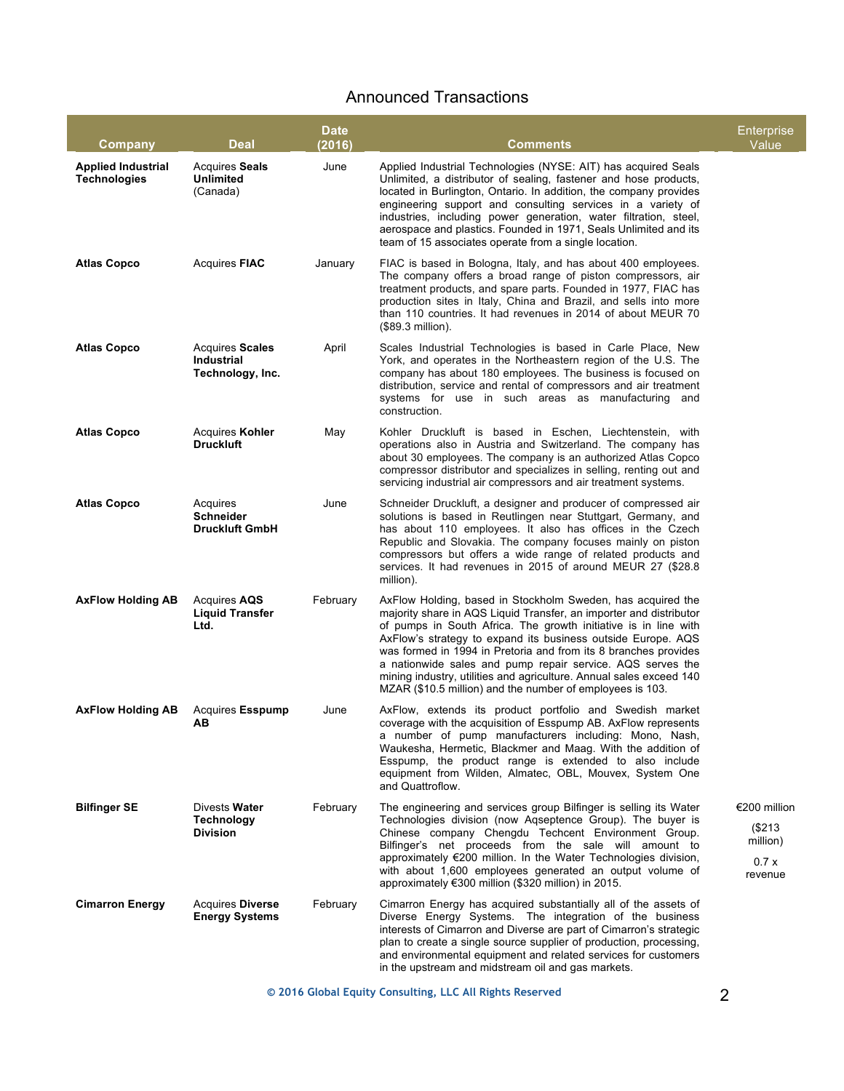## Announced Transactions

| Company                                          | <b>Deal</b>                                              | <b>Date</b><br>(2016) | Comments                                                                                                                                                                                                                                                                                                                                                                                                                                                                                                                                  | Enterprise<br>Value                                   |
|--------------------------------------------------|----------------------------------------------------------|-----------------------|-------------------------------------------------------------------------------------------------------------------------------------------------------------------------------------------------------------------------------------------------------------------------------------------------------------------------------------------------------------------------------------------------------------------------------------------------------------------------------------------------------------------------------------------|-------------------------------------------------------|
| <b>Applied Industrial</b><br><b>Technologies</b> | <b>Acquires Seals</b><br><b>Unlimited</b><br>(Canada)    | June                  | Applied Industrial Technologies (NYSE: AIT) has acquired Seals<br>Unlimited, a distributor of sealing, fastener and hose products,<br>located in Burlington, Ontario. In addition, the company provides<br>engineering support and consulting services in a variety of<br>industries, including power generation, water filtration, steel,<br>aerospace and plastics. Founded in 1971, Seals Unlimited and its<br>team of 15 associates operate from a single location.                                                                   |                                                       |
| <b>Atlas Copco</b>                               | <b>Acquires FIAC</b>                                     | January               | FIAC is based in Bologna, Italy, and has about 400 employees.<br>The company offers a broad range of piston compressors, air<br>treatment products, and spare parts. Founded in 1977, FIAC has<br>production sites in Italy, China and Brazil, and sells into more<br>than 110 countries. It had revenues in 2014 of about MEUR 70<br>(\$89.3 million).                                                                                                                                                                                   |                                                       |
| <b>Atlas Copco</b>                               | <b>Acquires Scales</b><br>Industrial<br>Technology, Inc. | April                 | Scales Industrial Technologies is based in Carle Place, New<br>York, and operates in the Northeastern region of the U.S. The<br>company has about 180 employees. The business is focused on<br>distribution, service and rental of compressors and air treatment<br>systems for use in such areas as manufacturing and<br>construction.                                                                                                                                                                                                   |                                                       |
| <b>Atlas Copco</b>                               | <b>Acquires Kohler</b><br><b>Druckluft</b>               | May                   | Kohler Druckluft is based in Eschen, Liechtenstein, with<br>operations also in Austria and Switzerland. The company has<br>about 30 employees. The company is an authorized Atlas Copco<br>compressor distributor and specializes in selling, renting out and<br>servicing industrial air compressors and air treatment systems.                                                                                                                                                                                                          |                                                       |
| <b>Atlas Copco</b>                               | Acquires<br><b>Schneider</b><br><b>Druckluft GmbH</b>    | June                  | Schneider Druckluft, a designer and producer of compressed air<br>solutions is based in Reutlingen near Stuttgart, Germany, and<br>has about 110 employees. It also has offices in the Czech<br>Republic and Slovakia. The company focuses mainly on piston<br>compressors but offers a wide range of related products and<br>services. It had revenues in 2015 of around MEUR 27 (\$28.8)<br>million).                                                                                                                                   |                                                       |
| <b>AxFlow Holding AB</b>                         | Acquires AQS<br><b>Liquid Transfer</b><br>Ltd.           | February              | AxFlow Holding, based in Stockholm Sweden, has acquired the<br>majority share in AQS Liquid Transfer, an importer and distributor<br>of pumps in South Africa. The growth initiative is in line with<br>AxFlow's strategy to expand its business outside Europe. AQS<br>was formed in 1994 in Pretoria and from its 8 branches provides<br>a nationwide sales and pump repair service. AQS serves the<br>mining industry, utilities and agriculture. Annual sales exceed 140<br>MZAR (\$10.5 million) and the number of employees is 103. |                                                       |
| <b>AxFlow Holding AB</b>                         | <b>Acquires Esspump</b><br>AВ                            | June                  | AxFlow, extends its product portfolio and Swedish market<br>coverage with the acquisition of Esspump AB. AxFlow represents<br>a number of pump manufacturers including: Mono, Nash,<br>Waukesha, Hermetic, Blackmer and Maag. With the addition of<br>Esspump, the product range is extended to also include<br>equipment from Wilden, Almatec, OBL, Mouvex, System One<br>and Quattroflow.                                                                                                                                               |                                                       |
| <b>Bilfinger SE</b>                              | Divests Water<br><b>Technology</b><br><b>Division</b>    | February              | The engineering and services group Bilfinger is selling its Water<br>Technologies division (now Aqseptence Group). The buyer is<br>Chinese company Chengdu Techcent Environment Group.<br>Bilfinger's net proceeds from the sale will amount to<br>approximately €200 million. In the Water Technologies division,<br>with about 1,600 employees generated an output volume of<br>approximately €300 million (\$320 million) in 2015.                                                                                                     | €200 million<br>(\$213<br>million)<br>0.7x<br>revenue |
| <b>Cimarron Energy</b>                           | <b>Acquires Diverse</b><br><b>Energy Systems</b>         | February              | Cimarron Energy has acquired substantially all of the assets of<br>Diverse Energy Systems. The integration of the business<br>interests of Cimarron and Diverse are part of Cimarron's strategic<br>plan to create a single source supplier of production, processing,<br>and environmental equipment and related services for customers<br>in the upstream and midstream oil and gas markets.                                                                                                                                            |                                                       |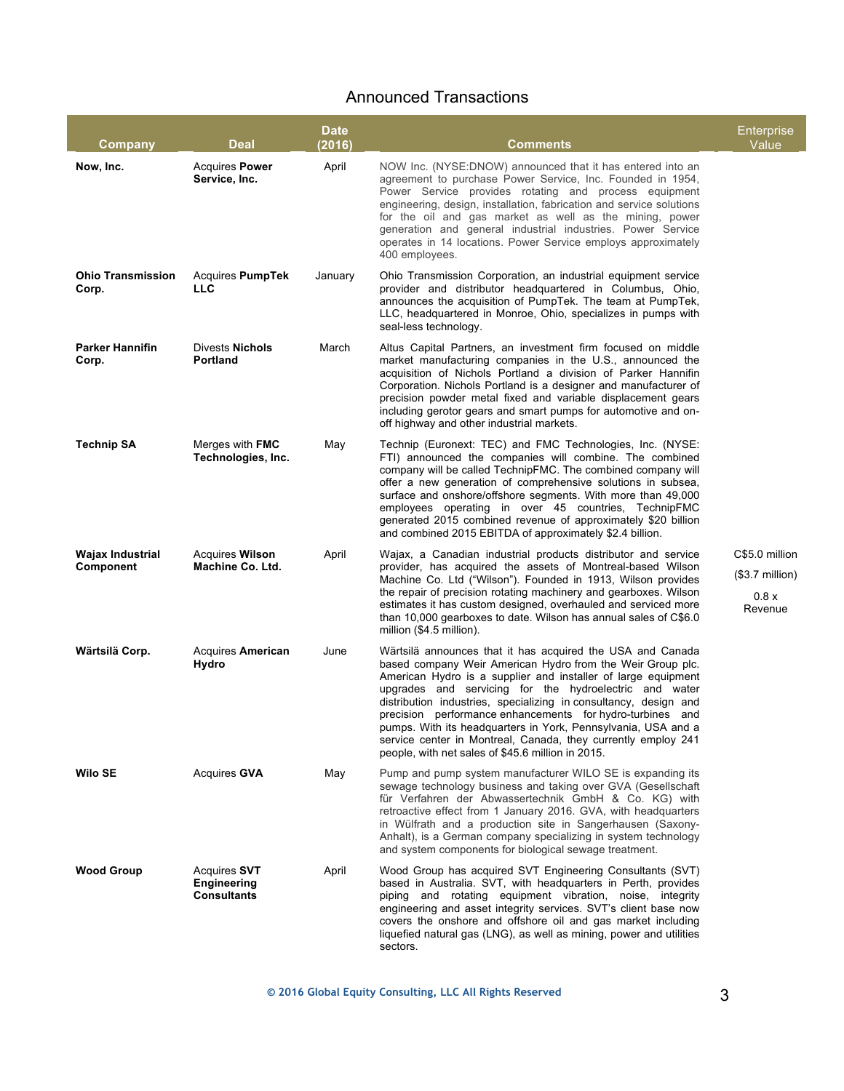### Announced Transactions

| Company                              | Deal                                                     | <b>Date</b><br>(2016) | Comments                                                                                                                                                                                                                                                                                                                                                                                                                                                                                                                                                                    | Enterprise<br>Value                                    |
|--------------------------------------|----------------------------------------------------------|-----------------------|-----------------------------------------------------------------------------------------------------------------------------------------------------------------------------------------------------------------------------------------------------------------------------------------------------------------------------------------------------------------------------------------------------------------------------------------------------------------------------------------------------------------------------------------------------------------------------|--------------------------------------------------------|
| Now, Inc.                            | <b>Acquires Power</b><br>Service, Inc.                   | April                 | NOW Inc. (NYSE:DNOW) announced that it has entered into an<br>agreement to purchase Power Service, Inc. Founded in 1954,<br>Power Service provides rotating and process equipment<br>engineering, design, installation, fabrication and service solutions<br>for the oil and gas market as well as the mining, power<br>generation and general industrial industries. Power Service<br>operates in 14 locations. Power Service employs approximately<br>400 employees.                                                                                                      |                                                        |
| <b>Ohio Transmission</b><br>Corp.    | Acquires PumpTek<br><b>LLC</b>                           | January               | Ohio Transmission Corporation, an industrial equipment service<br>provider and distributor headquartered in Columbus, Ohio,<br>announces the acquisition of PumpTek. The team at PumpTek,<br>LLC, headquartered in Monroe, Ohio, specializes in pumps with<br>seal-less technology.                                                                                                                                                                                                                                                                                         |                                                        |
| <b>Parker Hannifin</b><br>Corp.      | <b>Divests Nichols</b><br><b>Portland</b>                | March                 | Altus Capital Partners, an investment firm focused on middle<br>market manufacturing companies in the U.S., announced the<br>acquisition of Nichols Portland a division of Parker Hannifin<br>Corporation. Nichols Portland is a designer and manufacturer of<br>precision powder metal fixed and variable displacement gears<br>including gerotor gears and smart pumps for automotive and on-<br>off highway and other industrial markets.                                                                                                                                |                                                        |
| <b>Technip SA</b>                    | Merges with FMC<br>Technologies, Inc.                    | May                   | Technip (Euronext: TEC) and FMC Technologies, Inc. (NYSE:<br>FTI) announced the companies will combine. The combined<br>company will be called TechnipFMC. The combined company will<br>offer a new generation of comprehensive solutions in subsea,<br>surface and onshore/offshore segments. With more than 49,000<br>employees operating in over 45 countries, TechnipFMC<br>generated 2015 combined revenue of approximately \$20 billion<br>and combined 2015 EBITDA of approximately \$2.4 billion.                                                                   |                                                        |
| <b>Wajax Industrial</b><br>Component | <b>Acquires Wilson</b><br>Machine Co. Ltd.               | April                 | Wajax, a Canadian industrial products distributor and service<br>provider, has acquired the assets of Montreal-based Wilson<br>Machine Co. Ltd ("Wilson"). Founded in 1913, Wilson provides<br>the repair of precision rotating machinery and gearboxes. Wilson<br>estimates it has custom designed, overhauled and serviced more<br>than 10,000 gearboxes to date. Wilson has annual sales of C\$6.0<br>million (\$4.5 million).                                                                                                                                           | C\$5.0 million<br>$($3.7$ million)<br>0.8 x<br>Revenue |
| Wärtsilä Corp.                       | Acquires American<br><b>Hydro</b>                        | June                  | Wärtsilä announces that it has acquired the USA and Canada<br>based company Weir American Hydro from the Weir Group plc.<br>American Hydro is a supplier and installer of large equipment<br>upgrades and servicing for the hydroelectric and water<br>distribution industries, specializing in consultancy, design and<br>precision performance enhancements for hydro-turbines and<br>pumps. With its headquarters in York, Pennsylvania, USA and a<br>service center in Montreal, Canada, they currently employ 241<br>people, with net sales of \$45.6 million in 2015. |                                                        |
| <b>Wilo SE</b>                       | <b>Acquires GVA</b>                                      | May                   | Pump and pump system manufacturer WILO SE is expanding its<br>sewage technology business and taking over GVA (Gesellschaft<br>für Verfahren der Abwassertechnik GmbH & Co. KG) with<br>retroactive effect from 1 January 2016. GVA, with headquarters<br>in Wülfrath and a production site in Sangerhausen (Saxony-<br>Anhalt), is a German company specializing in system technology<br>and system components for biological sewage treatment.                                                                                                                             |                                                        |
| <b>Wood Group</b>                    | <b>Acquires SVT</b><br>Engineering<br><b>Consultants</b> | April                 | Wood Group has acquired SVT Engineering Consultants (SVT)<br>based in Australia. SVT, with headquarters in Perth, provides<br>piping and rotating equipment vibration, noise, integrity<br>engineering and asset integrity services. SVT's client base now<br>covers the onshore and offshore oil and gas market including<br>liquefied natural gas (LNG), as well as mining, power and utilities<br>sectors.                                                                                                                                                               |                                                        |